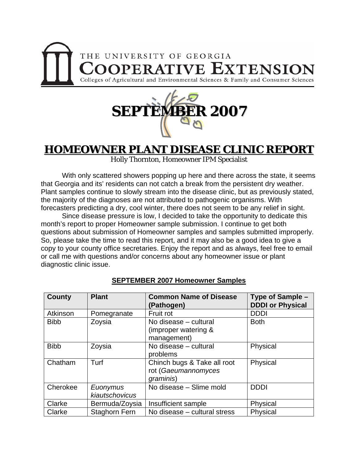



## **HOMEOWNER PLANT DISEASE CLINIC REPORT**

Holly Thornton, Homeowner IPM Specialist

 With only scattered showers popping up here and there across the state, it seems that Georgia and its' residents can not catch a break from the persistent dry weather. Plant samples continue to slowly stream into the disease clinic, but as previously stated, the majority of the diagnoses are not attributed to pathogenic organisms. With forecasters predicting a dry, cool winter, there does not seem to be any relief in sight.

 Since disease pressure is low, I decided to take the opportunity to dedicate this month's report to proper Homeowner sample submission. I continue to get both questions about submission of Homeowner samples and samples submitted improperly. So, please take the time to read this report, and it may also be a good idea to give a copy to your county office secretaries. Enjoy the report and as always, feel free to email or call me with questions and/or concerns about any homeowner issue or plant diagnostic clinic issue.

| County      | <b>Plant</b>               | <b>Common Name of Disease</b><br>(Pathogen)                     | Type of Sample –<br><b>DDDI or Physical</b> |
|-------------|----------------------------|-----------------------------------------------------------------|---------------------------------------------|
| Atkinson    | Pomegranate                | Fruit rot                                                       | <b>DDDI</b>                                 |
| <b>Bibb</b> | Zoysia                     | No disease - cultural<br>(improper watering &<br>management)    | <b>Both</b>                                 |
| <b>Bibb</b> | Zoysia                     | No disease - cultural<br>problems                               | Physical                                    |
| Chatham     | Turf                       | Chinch bugs & Take all root<br>rot (Gaeumannomyces<br>graminis) | Physical                                    |
| Cherokee    | Euonymus<br>kiautschovicus | No disease - Slime mold                                         | <b>DDDI</b>                                 |
| Clarke      | Bermuda/Zoysia             | Insufficient sample                                             | Physical                                    |
| Clarke      | <b>Staghorn Fern</b>       | No disease – cultural stress                                    | Physical                                    |

### **SEPTEMBER 2007 Homeowner Samples**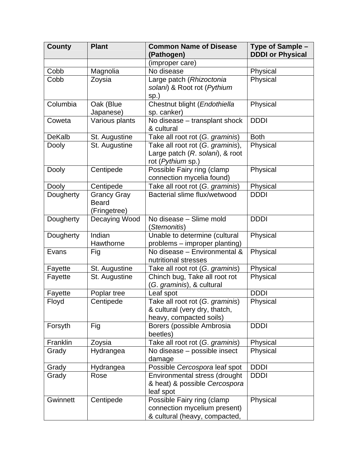| <b>County</b> | <b>Plant</b>                                       | <b>Common Name of Disease</b><br>(Pathogen)                                                 | Type of Sample -<br><b>DDDI or Physical</b> |
|---------------|----------------------------------------------------|---------------------------------------------------------------------------------------------|---------------------------------------------|
|               |                                                    | (improper care)                                                                             |                                             |
| Cobb          | Magnolia                                           | No disease                                                                                  | Physical                                    |
| Cobb          | Zoysia                                             | Large patch (Rhizoctonia<br>solani) & Root rot (Pythium<br>sp.)                             | Physical                                    |
| Columbia      | Oak (Blue<br>Japanese)                             | Chestnut blight (Endothiella<br>sp. canker)                                                 | Physical                                    |
| Coweta        | Various plants                                     | No disease - transplant shock<br>& cultural                                                 | <b>DDDI</b>                                 |
| <b>DeKalb</b> | St. Augustine                                      | Take all root rot (G. graminis)                                                             | <b>Both</b>                                 |
| <b>Dooly</b>  | St. Augustine                                      | Take all root rot (G. graminis),<br>Large patch (R. solani), & root<br>rot (Pythium sp.)    | Physical                                    |
| <b>Dooly</b>  | Centipede                                          | Possible Fairy ring (clamp<br>connection mycelia found)                                     | Physical                                    |
| Dooly         | Centipede                                          | Take all root rot (G. graminis)                                                             | Physical                                    |
| Dougherty     | <b>Grancy Gray</b><br><b>Beard</b><br>(Fringetree) | Bacterial slime flux/wetwood                                                                | <b>DDDI</b>                                 |
| Dougherty     | Decaying Wood                                      | No disease - Slime mold<br>(Stemonitis)                                                     | <b>DDDI</b>                                 |
| Dougherty     | <b>Indian</b><br>Hawthorne                         | Unable to determine (cultural<br>problems – improper planting)                              | Physical                                    |
| Evans         | Fig                                                | No disease - Environmental &<br>nutritional stresses                                        | Physical                                    |
| Fayette       | St. Augustine                                      | Take all root rot (G. graminis)                                                             | Physical                                    |
| Fayette       | St. Augustine                                      | Chinch bug, Take all root rot<br>(G. graminis), & cultural                                  | Physical                                    |
| Fayette       | Poplar tree                                        | Leaf spot                                                                                   | <b>DDDI</b>                                 |
| Floyd         | Centipede                                          | Take all root rot (G. graminis)<br>& cultural (very dry, thatch,<br>heavy, compacted soils) | Physical                                    |
| Forsyth       | Fig                                                | Borers (possible Ambrosia<br>beetles)                                                       | <b>DDDI</b>                                 |
| Franklin      | Zoysia                                             | Take all root rot (G. graminis)                                                             | Physical                                    |
| Grady         | Hydrangea                                          | No disease – possible insect<br>damage                                                      | Physical                                    |
| Grady         | Hydrangea                                          | Possible Cercospora leaf spot                                                               | <b>DDDI</b>                                 |
| Grady         | Rose                                               | Environmental stress (drought<br>& heat) & possible Cercospora<br>leaf spot                 | <b>DDDI</b>                                 |
| Gwinnett      | Centipede                                          | Possible Fairy ring (clamp<br>connection mycelium present)<br>& cultural (heavy, compacted, | Physical                                    |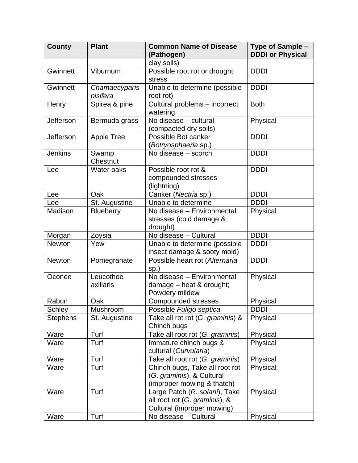| <b>County</b>   | <b>Plant</b>              | <b>Common Name of Disease</b><br>(Pathogen)                                                  | Type of Sample -<br><b>DDDI or Physical</b> |
|-----------------|---------------------------|----------------------------------------------------------------------------------------------|---------------------------------------------|
|                 |                           | clay soils)                                                                                  |                                             |
| Gwinnett        | Viburnum                  | Possible root rot or drought<br>stress                                                       | <b>DDDI</b>                                 |
| Gwinnett        | Chamaecyparis<br>pisifera | Unable to determine (possible<br>root rot)                                                   | <b>DDDI</b>                                 |
| Henry           | Spirea & pine             | Cultural problems - incorrect<br>watering                                                    | <b>Both</b>                                 |
| Jefferson       | Bermuda grass             | No disease - cultural<br>(compacted dry soils)                                               | Physical                                    |
| Jefferson       | <b>Apple Tree</b>         | Possible Bot canker<br>(Botryosphaeria sp.)                                                  | <b>DDDI</b>                                 |
| <b>Jenkins</b>  | Swamp<br>Chestnut         | No disease - scorch                                                                          | <b>DDDI</b>                                 |
| Lee             | Water oaks                | Possible root rot &<br>compounded stresses<br>(lightning)                                    | <b>DDDI</b>                                 |
| Lee             | Oak                       | Canker (Nectria sp.)                                                                         | <b>DDDI</b>                                 |
| Lee             | St. Augustine             | Unable to determine                                                                          | <b>DDDI</b>                                 |
| Madison         | <b>Blueberry</b>          | No disease - Environmental<br>stresses (cold damage &<br>drought)                            | Physical                                    |
| Morgan          | Zoysia                    | No disease - Cultural                                                                        | <b>DDDI</b>                                 |
| <b>Newton</b>   | Yew                       | Unable to determine (possible<br>insect damage & sooty mold)                                 | <b>DDDI</b>                                 |
| Newton          | Pomegranate               | Possible heart rot (Alternaria<br>$sp.$ )                                                    | <b>DDDI</b>                                 |
| Oconee          | Leucothoe<br>axillaris    | No disease - Environmental<br>$damage - heat & drought;$<br>Powdery mildew                   | Physical                                    |
| Rabun           | Oak                       | Compounded stresses                                                                          | Physical                                    |
| <b>Schley</b>   | Mushroom                  | Possible Fuligo septica                                                                      | <b>DDDI</b>                                 |
| <b>Stephens</b> | St. Augustine             | Take all rot rot (G. graminis) &<br>Chinch bugs                                              | Physical                                    |
| Ware            | Turf                      | Take all root rot (G. graminis)                                                              | Physical                                    |
| Ware            | Turf                      | Immature chinch bugs &<br>cultural (Curvularia)                                              | Physical                                    |
| Ware            | Turf                      | Take all root rot (G. graminis)                                                              | Physical                                    |
| Ware            | Turf                      | Chinch bugs, Take all root rot<br>(G. graminis), & Cultural<br>(improper mowing & thatch)    | Physical                                    |
| Ware            | Turf                      | Large Patch (R. solani), Take<br>all root rot (G. graminis), &<br>Cultural (improper mowing) | Physical                                    |
| Ware            | Turf                      | No disease - Cultural                                                                        | Physical                                    |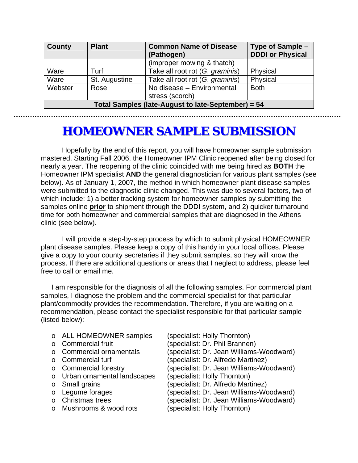| <b>County</b>                                      | <b>Plant</b>  | <b>Common Name of Disease</b><br>(Pathogen) | Type of Sample -<br><b>DDDI or Physical</b> |  |
|----------------------------------------------------|---------------|---------------------------------------------|---------------------------------------------|--|
|                                                    |               | (improper mowing & thatch)                  |                                             |  |
| Ware                                               | Turf          | Take all root rot (G. graminis)             | Physical                                    |  |
| Ware                                               | St. Augustine | Take all root rot (G. graminis)             | Physical                                    |  |
| Webster                                            | Rose          | No disease - Environmental                  | <b>Both</b>                                 |  |
|                                                    |               | stress (scorch)                             |                                             |  |
| Total Samples (late-August to late-September) = 54 |               |                                             |                                             |  |

# **HOMEOWNER SAMPLE SUBMISSION**

 Hopefully by the end of this report, you will have homeowner sample submission mastered. Starting Fall 2006, the Homeowner IPM Clinic reopened after being closed for nearly a year. The reopening of the clinic coincided with me being hired as **BOTH** the Homeowner IPM specialist **AND** the general diagnostician for various plant samples (see below). As of January 1, 2007, the method in which homeowner plant disease samples were submitted to the diagnostic clinic changed. This was due to several factors, two of which include: 1) a better tracking system for homeowner samples by submitting the samples online **prior** to shipment through the DDDI system, and 2) quicker turnaround time for both homeowner and commercial samples that are diagnosed in the Athens clinic (see below).

 I will provide a step-by-step process by which to submit physical HOMEOWNER plant disease samples. Please keep a copy of this handy in your local offices. Please give a copy to your county secretaries if they submit samples, so they will know the process. If there are additional questions or areas that I neglect to address, please feel free to call or email me.

I am responsible for the diagnosis of all the following samples. For commercial plant samples, I diagnose the problem and the commercial specialist for that particular plant/commodity provides the recommendation. Therefore, if you are waiting on a recommendation, please contact the specialist responsible for that particular sample (listed below):

- o ALL HOMEOWNER samples (specialist: Holly Thornton)
- 
- 
- 
- 
- $\circ$  Urban ornamental landscapes
- 
- 
- 
- o Mushrooms & wood rots (specialist: Holly Thornton)
- o Commercial fruit (specialist: Dr. Phil Brannen) o Commercial ornamentals (specialist: Dr. Jean Williams-Woodward)<br>  $\circ$  Commercial turf (specialist: Dr. Alfredo Martinez) (specialist: Dr. Alfredo Martinez) o Commercial forestry (specialist: Dr. Jean Williams-Woodward)<br>o Urban ornamental landscapes (specialist: Holly Thornton) o Small grains (specialist: Dr. Alfredo Martinez) o Legume forages (specialist: Dr. Jean Williams-Woodward) o Christmas trees (specialist: Dr. Jean Williams-Woodward)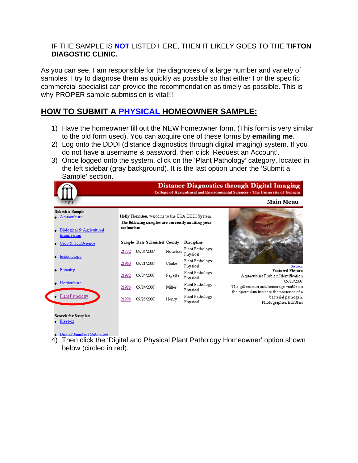#### IF THE SAMPLE IS **NOT** LISTED HERE, THEN IT LIKELY GOES TO THE **TIFTON DIAGOSTIC CLINIC.**

As you can see, I am responsible for the diagnoses of a large number and variety of samples. I try to diagnose them as quickly as possible so that either I or the specific commercial specialist can provide the recommendation as timely as possible. This is why PROPER sample submission is vital!!!

### **HOW TO SUBMIT A PHYSICAL HOMEOWNER SAMPLE:**

- 1) Have the homeowner fill out the NEW homeowner form. (This form is very similar to the old form used). You can acquire one of these forms by **emailing me**.
- 2) Log onto the DDDI (distance diagnostics through digital imaging) system. If you do not have a username & password, then click 'Request an Account'.
- 3) Once logged onto the system, click on the 'Plant Pathology' category, located in the left sidebar (gray background). It is the last option under the 'Submit a Sample' section.



- **Search for Samples**
- $\bullet$  Freetext
- 
- **Digital Samples I Submitted**<br>4) Then click the 'Digital and Physical Plant Pathology Homeowner' option shown below (circled in red).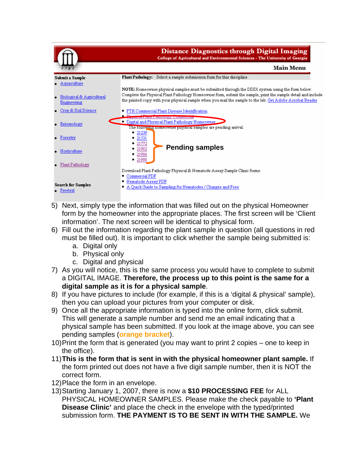

- 5) Next, simply type the information that was filled out on the physical Homeowner form by the homeowner into the appropriate places. The first screen will be 'Client information'. The next screen will be identical to physical form.
- 6) Fill out the information regarding the plant sample in question (all questions in red must be filled out). It is important to click whether the sample being submitted is:
	- a. Digital only
	- b. Physical only
	- c. Digital and physical
- 7) As you will notice, this is the same process you would have to complete to submit a DIGITAL IMAGE. **Therefore, the process up to this point is the same for a digital sample as it is for a physical sample**.
- 8) If you have pictures to include (for example, if this is a 'digital & physical' sample), then you can upload your pictures from your computer or disk.
- 9) Once all the appropriate information is typed into the online form, click submit. This will generate a sample number and send me an email indicating that a physical sample has been submitted. If you look at the image above, you can see pending samples (**orange bracket**).
- 10) Print the form that is generated (you may want to print 2 copies one to keep in the office).
- 11) **This is the form that is sent in with the physical homeowner plant sample.** If the form printed out does not have a five digit sample number, then it is NOT the correct form.
- 12) Place the form in an envelope.
- 13) Starting January 1, 2007, there is now a **\$10 PROCESSING FEE** for ALL PHYSICAL HOMEOWNER SAMPLES. Please make the check payable to **'Plant Disease Clinic'** and place the check in the envelope with the typed/printed submission form. **THE PAYMENT IS TO BE SENT IN WITH THE SAMPLE.** We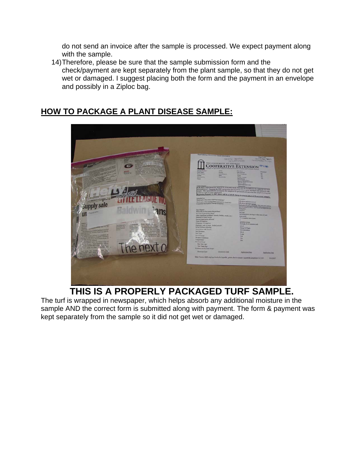do not send an invoice after the sample is processed. We expect payment along with the sample.

14) Therefore, please be sure that the sample submission form and the check/payment are kept separately from the plant sample, so that they do not get wet or damaged. I suggest placing both the form and the payment in an envelope and possibly in a Ziploc bag.

### **HOW TO PACKAGE A PLANT DISEASE SAMPLE:**



 **THIS IS A PROPERLY PACKAGED TURF SAMPLE.**

The turf is wrapped in newspaper, which helps absorb any additional moisture in the sample AND the correct form is submitted along with payment. The form & payment was kept separately from the sample so it did not get wet or damaged.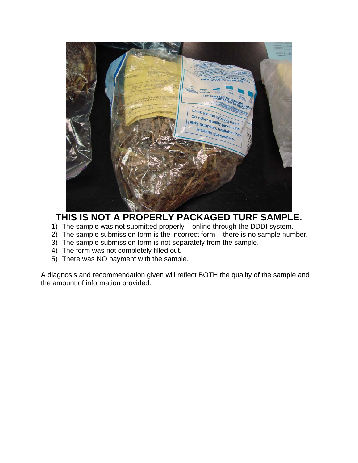

### **THIS IS NOT A PROPERLY PACKAGED TURF SAMPLE.**

- 1) The sample was not submitted properly online through the DDDI system.
- 2) The sample submission form is the incorrect form there is no sample number.
- 3) The sample submission form is not separately from the sample.
- 4) The form was not completely filled out.
- 5) There was NO payment with the sample.

A diagnosis and recommendation given will reflect BOTH the quality of the sample and the amount of information provided.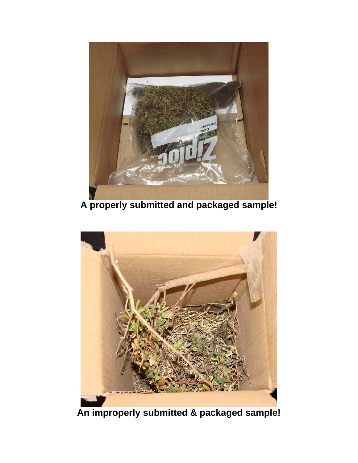

**A properly submitted and packaged sample!** 



**An improperly submitted & packaged sample!**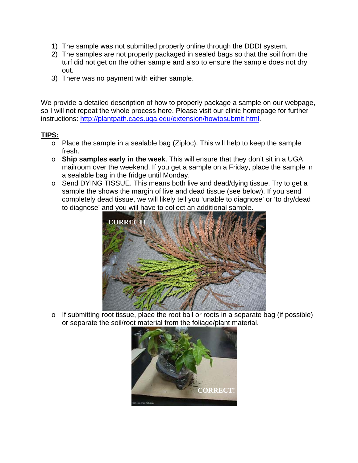- 1) The sample was not submitted properly online through the DDDI system.
- 2) The samples are not properly packaged in sealed bags so that the soil from the turf did not get on the other sample and also to ensure the sample does not dry out.
- 3) There was no payment with either sample.

We provide a detailed description of how to properly package a sample on our webpage, so I will not repeat the whole process here. Please visit our clinic homepage for further instructions: [http://plantpath.caes.uga.edu/extension/howtosubmit.html.](http://plantpath.caes.uga.edu/extension/howtosubmit.html)

### **TIPS:**

- o Place the sample in a sealable bag (Ziploc). This will help to keep the sample fresh.
- o **Ship samples early in the week**. This will ensure that they don't sit in a UGA mailroom over the weekend. If you get a sample on a Friday, place the sample in a sealable bag in the fridge until Monday.
- o Send DYING TISSUE. This means both live and dead/dying tissue. Try to get a sample the shows the margin of live and dead tissue (see below). If you send completely dead tissue, we will likely tell you 'unable to diagnose' or 'to dry/dead to diagnose' and you will have to collect an additional sample.



o If submitting root tissue, place the root ball or roots in a separate bag (if possible) or separate the soil/root material from the foliage/plant material.